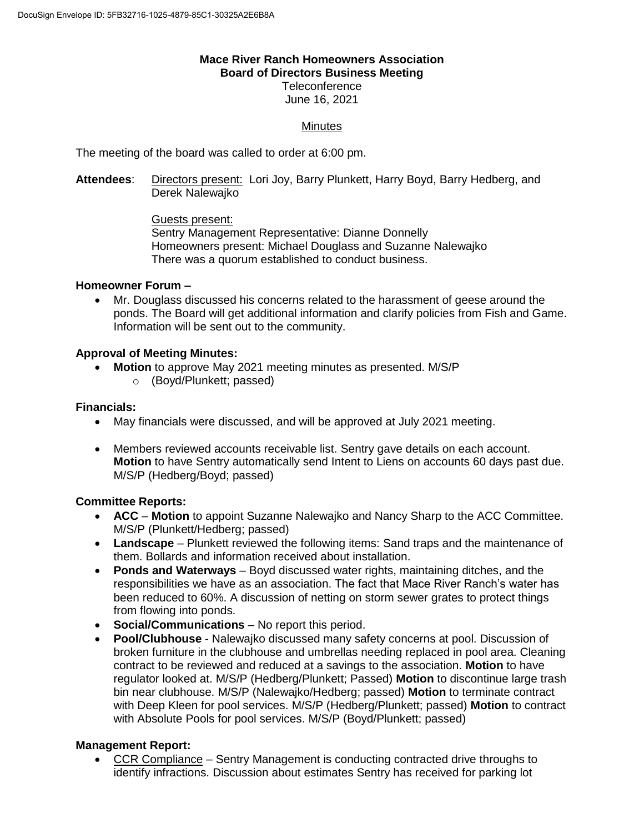# **Mace River Ranch Homeowners Association Board of Directors Business Meeting**

**Teleconference** June 16, 2021

# **Minutes**

The meeting of the board was called to order at 6:00 pm.

**Attendees**: Directors present: Lori Joy, Barry Plunkett, Harry Boyd, Barry Hedberg, and Derek Nalewajko

> Guests present: Sentry Management Representative: Dianne Donnelly Homeowners present: Michael Douglass and Suzanne Nalewajko There was a quorum established to conduct business.

### **Homeowner Forum –**

 Mr. Douglass discussed his concerns related to the harassment of geese around the ponds. The Board will get additional information and clarify policies from Fish and Game. Information will be sent out to the community.

## **Approval of Meeting Minutes:**

- **Motion** to approve May 2021 meeting minutes as presented. M/S/P
	- o (Boyd/Plunkett; passed)

## **Financials:**

- May financials were discussed, and will be approved at July 2021 meeting.
- Members reviewed accounts receivable list. Sentry gave details on each account. **Motion** to have Sentry automatically send Intent to Liens on accounts 60 days past due. M/S/P (Hedberg/Boyd; passed)

### **Committee Reports:**

- **ACC Motion** to appoint Suzanne Nalewajko and Nancy Sharp to the ACC Committee. M/S/P (Plunkett/Hedberg; passed)
- **Landscape** Plunkett reviewed the following items: Sand traps and the maintenance of them. Bollards and information received about installation.
- **Ponds and Waterways** Boyd discussed water rights, maintaining ditches, and the responsibilities we have as an association. The fact that Mace River Ranch's water has been reduced to 60%. A discussion of netting on storm sewer grates to protect things from flowing into ponds.
- **Social/Communications** No report this period.
- **Pool/Clubhouse** Nalewajko discussed many safety concerns at pool. Discussion of broken furniture in the clubhouse and umbrellas needing replaced in pool area. Cleaning contract to be reviewed and reduced at a savings to the association. **Motion** to have regulator looked at. M/S/P (Hedberg/Plunkett; Passed) **Motion** to discontinue large trash bin near clubhouse. M/S/P (Nalewajko/Hedberg; passed) **Motion** to terminate contract with Deep Kleen for pool services. M/S/P (Hedberg/Plunkett; passed) **Motion** to contract with Absolute Pools for pool services. M/S/P (Boyd/Plunkett; passed)

### **Management Report:**

 CCR Compliance – Sentry Management is conducting contracted drive throughs to identify infractions. Discussion about estimates Sentry has received for parking lot